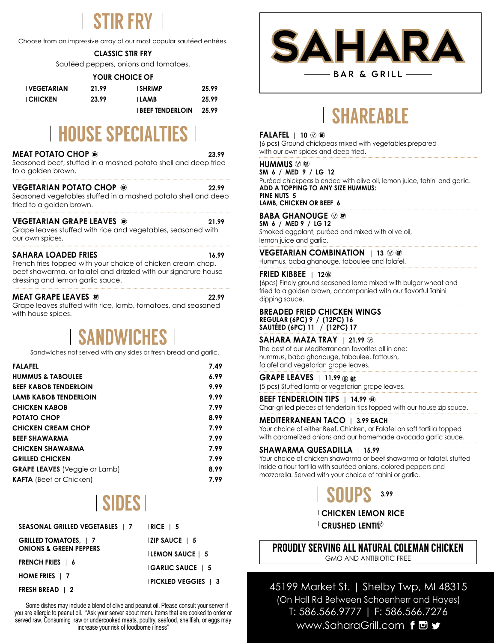# STIR FRY

Choose from an impressive array of our most popular sautéed entrées.

# **CLASSIC STIR FRY**

Sautéed peppers, onions and tomatoes.

| YOUR CHOICE OF    |       |                        |       |  |
|-------------------|-------|------------------------|-------|--|
| <b>VEGETARIAN</b> | 21.99 | <b>SHRIMP</b>          | 25.99 |  |
| <b>CHICKEN</b>    | 23.99 | ∣ LAMB                 | 25.99 |  |
|                   |       | <b>BEEF TENDERLOIN</b> | 25.99 |  |

# **HOUSE SPECIALTIES**

# **MEAT POTATO CHOP 23.99**

Seasoned beef, stuffed in a mashed potato shell and deep fried to a golden brown.

# **VEGETARIAN POTATO CHOP <b>CONSUMING 22.99**

Seasoned vegetables stuffed in a mashed potato shell and deep fried to a golden brown.

### **VEGETARIAN GRAPE LEAVES @** 21.99

Grape leaves stuffed with rice and vegetables, seasoned with our own spices.

# **SAHARA LOADED FRIES 16.99**

French fries topped with your choice of chicken cream chop, beef shawarma, or falafel and drizzled with our signature house dressing and lemon garlic sauce.

# **MEAT GRAPE LEAVES <b>a 22.99**

Grape leaves stuffed with rice, lamb, tomatoes, and seasoned with house spices.

# SANDWICHES

Sandwiches not served with any sides or fresh bread and garlic.

| <b>FALAFEL</b>                       | 7.49 |
|--------------------------------------|------|
| <b>HUMMUS &amp; TABOULEE</b>         | 6.99 |
| <b>BEEF KABOB TENDERLOIN</b>         | 9.99 |
| LAMB KABOB TENDERLOIN                | 9.99 |
| <b>CHICKEN KABOB</b>                 | 7.99 |
| <b>POTATO CHOP</b>                   | 8.99 |
| <b>CHICKEN CREAM CHOP</b>            | 7.99 |
| <b>BEEF SHAWARMA</b>                 | 7.99 |
| <b>CHICKEN SHAWARMA</b>              | 7.99 |
| <b>GRILLED CHICKEN</b>               | 7.99 |
| <b>GRAPE LEAVES</b> (Veggie or Lamb) | 8.99 |
| <b>KAFTA</b> (Beef or Chicken)       | 7.99 |

# SIDES

| <b>SEASONAL GRILLED VEGETABLES   7</b> | $ RICE \mid 5$              |  |
|----------------------------------------|-----------------------------|--|
| $ GRILLED$ TOMATOES, $ 7$              | $\vert$ ZIP SAUCE $\vert$ 5 |  |
| <b>ONIONS &amp; GREEN PEPPERS</b>      | <b>ILEMON SAUCE   5</b>     |  |
| <b>FRENCH FRIES</b>   6                | <b>GARLIC SAUCE   5</b>     |  |
| $HOME$ FRIES $\parallel$ 7             | <b>PICKLED VEGGIES   3</b>  |  |
| <b>FRESH BREAD</b>   2                 |                             |  |

 Some dishes may include a blend of olive and peanut oil. Please consult your server if you are allergic to peanut oil. "Ask your server about menu items that are cooked to order or served raw. Consuming raw or undercooked meats, poultry, seafood, shellfish, or eggs may increase your risk of foodborne illness"



# SHAREABLE

# **FALAFEL | 10**

(6 pcs) Ground chickpeas mixed with vegetables,prepared with our own spices and deep fried.

# **HUMMUS**

**SM 6 / MED 9 / LG 12** Puréed chickpeas blended with olive oil, lemon juice, tahini and garlic. **ADD A TOPPING TO ANY SIZE HUMMUS: PINE NUTS 5 LAMB, CHICKEN OR BEEF 6**

# **BABA GHANOUGE**

**SM 6 / MED 9 / LG 12** Smoked eggplant, puréed and mixed with olive oil, lemon juice and garlic.

# **VEGETARIAN COMBINATION | 13**  $\heartsuit$  or

Hummus, baba ghanouge, taboulee and falafel.

# **FRIED KIBBEE | 12**

(6pcs) Finely ground seasoned lamb mixed with bulgar wheat and fried to a golden brown, accompanied with our flavorful Tahini dipping sauce.

#### **BREADED FRIED CHICKEN WINGS REGULAR (6PC) 9 / (12PC) 16 SAUTÉED (6PC) 11 / (12PC) 17**

**SAHARA MAZA TRAY | 21.99** The best of our Mediterranean favorites all in one: hummus, baba ghanouge, taboulee, fattoush,

# falafel and vegetarian grape leaves. **GRAPE LEAVES | 11.99**

(5 pcs) Stuffed lamb or vegetarian grape leaves.

**BEEF TENDERLOIN TIPS | 14.99 ®** 

Char-grilled pieces of tenderloin tips topped with our house zip sauce.

# **MEDITERRANEAN TACO | 3.99 EACH**

Your choice of either Beef, Chicken, or Falafel on soft tortilla topped with caramelized onions and our homemade avocado garlic sauce.

# **SHAWARMA QUESADILLA | 15.99**

Your choice of chicken shawarma or beef shawarma or falafel, stuffed inside a flour tortilla with sautéed onions, colored peppers and mozzarella. Served with your choice of tahini or garlic.



**CHICKEN LEMON RICE**

**CRUSHED LENTI**<sup> $\mathbb{C}$ </sup>

# PROUDLY SERVING ALL NATURAL COLEMAN CHICKEN GMO AND ANTIBIOTIC FREE

45199 Market St. | Shelby Twp, MI 48315 (On Hall Rd Between Schoenherr and Hayes) T: 586.566.9777 | F: 586.566.7276 www.SaharaGrill.com for